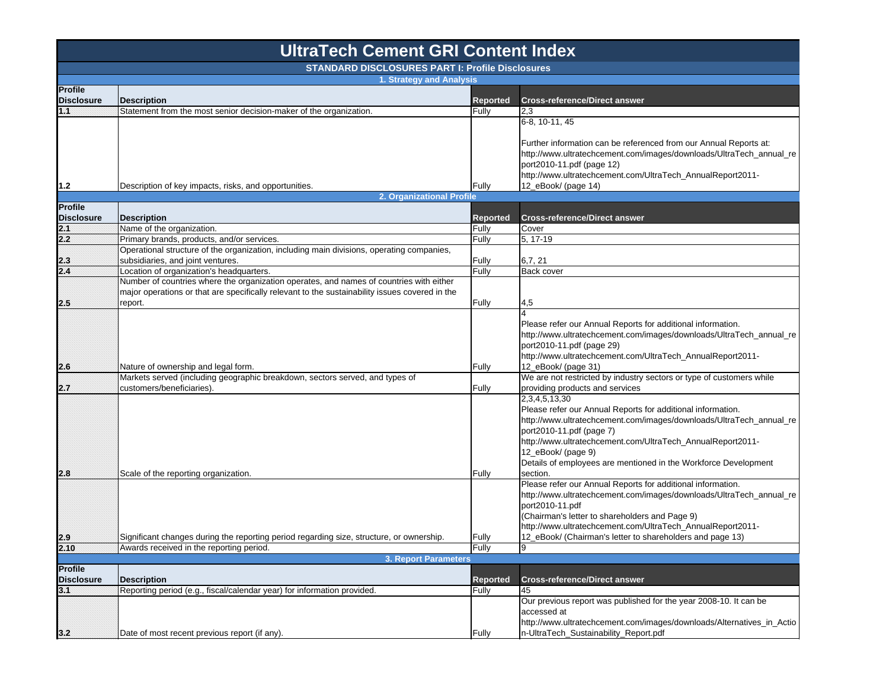## **Profile Disclosure Description Reported Cross-reference/Direct answer 1.1**Statement from the most senior decision-maker of the organization. Fully  $\vert$  2,3 **1.2**Description of key impacts, risks, and opportunities. The example of the state of Fully 6-8, 10-11, 45 Further information can be referenced from our Annual Reports at: http://www.ultratechcement.com/images/downloads/UltraTech\_annual\_re port2010-11.pdf (page 12) http://www.ultratechcement.com/UltraTech\_AnnualReport2011- 12\_eBook/ (page 14) **Profile Disclosure Description Reported Cross-reference/Direct answer 2.1**Name of the organization. The organization cover and the organization cover and the organization of the organization cover and the organization of  $\frac{1}{100}$  Cover  $\frac{1}{100}$  Cover  $\frac{1}{100}$  Cover  $\frac{1}{100}$  Cover  $\frac$ **2.2**Primary brands, products, and/or services. Fully 5, 17-19 19: 17-19 19: 17-19 19: 17-19 19: 17-19 19: 17-19 19: 17-19 19: 17-19 19: 17-19 19: 17-19 19: 17-19 19: 17-19 19: 17-19 19: 17-19 19: 17-19 19: 17-19 19: 17-19 19: **2.3** Operational structure of the organization, including main divisions, operating companies, subsidiaries, and joint ventures. The contract of the contract of the contract of the fully for  $6,7,21$ **2.4**Location of organization's headquarters. The example of the state of the state of the Back cover **2.5**Number of countries where the organization operates, and names of countries with either major operations or that are specifically relevant to the sustainability issues covered in the report. Fully 4,5 **2.6**Nature of ownership and legal form. The state of ownership and legal form. 4Please refer our Annual Reports for additional information. http://www.ultratechcement.com/images/downloads/UltraTech\_annual\_re port2010-11.pdf (page 29) http://www.ultratechcement.com/UltraTech\_AnnualReport2011-12\_eBook/ (page 31) **2.7**Markets served (including geographic breakdown, sectors served, and types of customers/beneficiaries). The contraction of the contraction of the contraction of the contraction of the contraction of the contraction of the contraction of the contraction of the contraction of the contraction of the co We are not restricted by industry sectors or type of customers while providing products and services **2.8**Scale of the reporting organization. The results of the reporting organization. 2,3,4,5,13,30 Please refer our Annual Reports for additional information. http://www.ultratechcement.com/images/downloads/UltraTech\_annual\_re port2010-11.pdf (page 7) http://www.ultratechcement.com/UltraTech\_AnnualReport2011- 12\_eBook/ (page 9) Details of employees are mentioned in the Workforce Development section.**2.9** Significant changes during the reporting period regarding size, structure, or ownership. Fully Please refer our Annual Reports for additional information. http://www.ultratechcement.com/images/downloads/UltraTech\_annual\_re port2010-11.pdf (Chairman's letter to shareholders and Page 9) http://www.ultratechcement.com/UltraTech\_AnnualReport2011- 12 eBook/ (Chairman's letter to shareholders and page 13) **2.10**Awards received in the reporting period. The second second period of the second period of the second period. **Profile Disclosure Description Reported Cross-reference/Direct answer 3.1** Reporting period (e.g., fiscal/calendar year) for information provided. Fully 45 **3.2**Date of most recent previous report (if any). The set of the set of the set of most recent previous report (if any). Our previous report was published for the year 2008-10. It can be accessed at http://www.ultratechcement.com/images/downloads/Alternatives\_in\_Actio n-UltraTech\_Sustainability\_Report.pdf **3. Report Parameters 2. Organizational Profile UltraTech Cement GRI Content Index STANDARD DISCLOSURES PART I: Profile Disclosures1. Strategy and Analysis**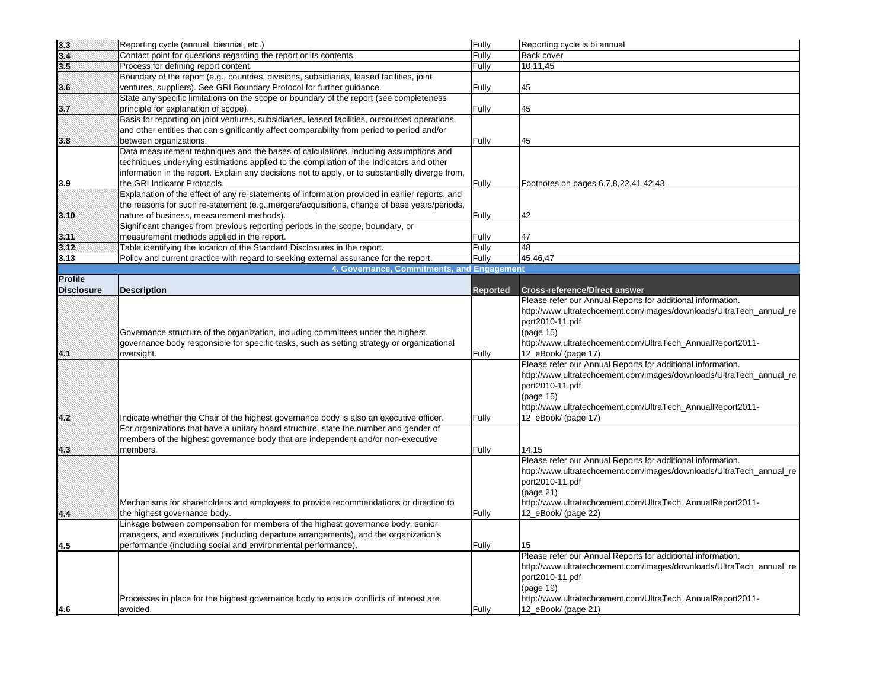| $\begin{array}{r} 3.3 \\ 3.4 \\ 3.5 \end{array}$ | Reporting cycle (annual, biennial, etc.)                                                         | Fully           | Reporting cycle is bi annual                                        |
|--------------------------------------------------|--------------------------------------------------------------------------------------------------|-----------------|---------------------------------------------------------------------|
|                                                  | Contact point for questions regarding the report or its contents.                                | Fully           | Back cover                                                          |
|                                                  | Process for defining report content.                                                             | Fully           | 10,11,45                                                            |
|                                                  | Boundary of the report (e.g., countries, divisions, subsidiaries, leased facilities, joint       |                 |                                                                     |
| 3.6                                              | ventures, suppliers). See GRI Boundary Protocol for further guidance.                            | Fully           | 45                                                                  |
|                                                  | State any specific limitations on the scope or boundary of the report (see completeness          |                 |                                                                     |
| 3.7                                              | principle for explanation of scope).                                                             | Fully           | 45                                                                  |
|                                                  | Basis for reporting on joint ventures, subsidiaries, leased facilities, outsourced operations,   |                 |                                                                     |
|                                                  | and other entities that can significantly affect comparability from period to period and/or      |                 |                                                                     |
| 3.8                                              | between organizations.                                                                           | Fully           | 45                                                                  |
|                                                  | Data measurement techniques and the bases of calculations, including assumptions and             |                 |                                                                     |
|                                                  | techniques underlying estimations applied to the compilation of the Indicators and other         |                 |                                                                     |
|                                                  | information in the report. Explain any decisions not to apply, or to substantially diverge from, |                 |                                                                     |
| 3.9                                              | the GRI Indicator Protocols.                                                                     | Fully           | Footnotes on pages 6,7,8,22,41,42,43                                |
|                                                  | Explanation of the effect of any re-statements of information provided in earlier reports, and   |                 |                                                                     |
|                                                  | the reasons for such re-statement (e.g., mergers/acquisitions, change of base years/periods,     |                 |                                                                     |
| 3.10                                             | nature of business, measurement methods).                                                        | Fully           | 42                                                                  |
|                                                  | Significant changes from previous reporting periods in the scope, boundary, or                   |                 |                                                                     |
| 3.11                                             | measurement methods applied in the report.                                                       | Fully           | 47                                                                  |
| 3.12                                             | Table identifying the location of the Standard Disclosures in the report.                        | Fully           | 48                                                                  |
| 3.13                                             | Policy and current practice with regard to seeking external assurance for the report.            | Fully           | 45,46,47                                                            |
|                                                  | 4. Governance, Commitments, and Engagement                                                       |                 |                                                                     |
| Profile                                          |                                                                                                  |                 |                                                                     |
| <b>Disclosure</b>                                | <b>Description</b>                                                                               | <b>Reported</b> | <b>Cross-reference/Direct answer</b>                                |
|                                                  |                                                                                                  |                 | Please refer our Annual Reports for additional information.         |
|                                                  |                                                                                                  |                 | http://www.ultratechcement.com/images/downloads/UltraTech_annual_re |
|                                                  |                                                                                                  |                 | port2010-11.pdf                                                     |
|                                                  | Governance structure of the organization, including committees under the highest                 |                 | (page 15)                                                           |
|                                                  | governance body responsible for specific tasks, such as setting strategy or organizational       |                 | http://www.ultratechcement.com/UltraTech_AnnualReport2011-          |
| 4.1                                              | oversight.                                                                                       | Fully           | 12_eBook/ (page 17)                                                 |
|                                                  |                                                                                                  |                 | Please refer our Annual Reports for additional information.         |
|                                                  |                                                                                                  |                 | http://www.ultratechcement.com/images/downloads/UltraTech_annual_re |
|                                                  |                                                                                                  |                 | port2010-11.pdf                                                     |
|                                                  |                                                                                                  |                 | (page 15)                                                           |
|                                                  |                                                                                                  |                 | http://www.ultratechcement.com/UltraTech_AnnualReport2011-          |
| 4.2                                              | Indicate whether the Chair of the highest governance body is also an executive officer.          | Fully           | 12_eBook/ (page 17)                                                 |
|                                                  | For organizations that have a unitary board structure, state the number and gender of            |                 |                                                                     |
|                                                  | members of the highest governance body that are independent and/or non-executive                 |                 |                                                                     |
| 4.3                                              | members.                                                                                         | Fully           | 14.15                                                               |
|                                                  |                                                                                                  |                 | Please refer our Annual Reports for additional information.         |
|                                                  |                                                                                                  |                 | http://www.ultratechcement.com/images/downloads/UltraTech_annual_re |
|                                                  |                                                                                                  |                 | port2010-11.pdf                                                     |
|                                                  |                                                                                                  |                 | (page 21)                                                           |
|                                                  | Mechanisms for shareholders and employees to provide recommendations or direction to             |                 | http://www.ultratechcement.com/UltraTech_AnnualReport2011-          |
| 4.4                                              | the highest governance body.                                                                     | Fully           | 12_eBook/ (page 22)                                                 |
|                                                  | Linkage between compensation for members of the highest governance body, senior                  |                 |                                                                     |
|                                                  | managers, and executives (including departure arrangements), and the organization's              |                 |                                                                     |
| 4.5                                              | performance (including social and environmental performance)                                     | Fully           | 15                                                                  |
|                                                  |                                                                                                  |                 | Please refer our Annual Reports for additional information.         |
|                                                  |                                                                                                  |                 | http://www.ultratechcement.com/images/downloads/UltraTech_annual_re |
|                                                  |                                                                                                  |                 | port2010-11.pdf                                                     |
|                                                  |                                                                                                  |                 | (page 19)                                                           |
|                                                  | Processes in place for the highest governance body to ensure conflicts of interest are           |                 | http://www.ultratechcement.com/UltraTech_AnnualReport2011-          |
| 4.6                                              | avoided.                                                                                         | Fully           | 12_eBook/ (page 21)                                                 |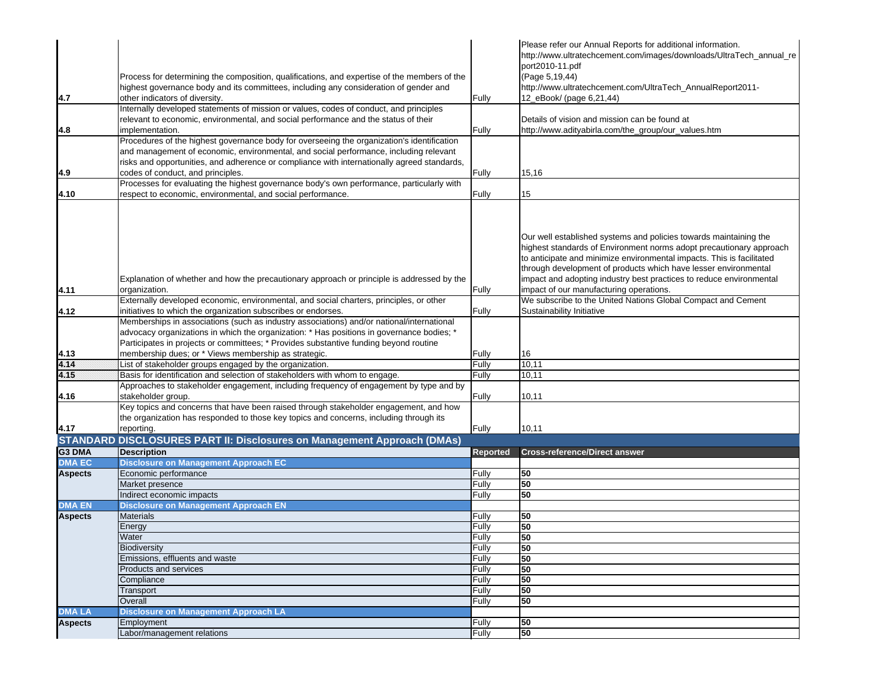|                |                                                                                              |          | Please refer our Annual Reports for additional information.           |
|----------------|----------------------------------------------------------------------------------------------|----------|-----------------------------------------------------------------------|
|                |                                                                                              |          | http://www.ultratechcement.com/images/downloads/UltraTech_annual_re   |
|                |                                                                                              |          | port2010-11.pdf                                                       |
|                | Process for determining the composition, qualifications, and expertise of the members of the |          | (Page 5,19,44)                                                        |
|                | highest governance body and its committees, including any consideration of gender and        |          | http://www.ultratechcement.com/UltraTech_AnnualReport2011-            |
| 4.7            | other indicators of diversity.                                                               | Fully    | 12 eBook/ (page 6,21,44)                                              |
|                | Internally developed statements of mission or values, codes of conduct, and principles       |          |                                                                       |
|                | relevant to economic, environmental, and social performance and the status of their          |          | Details of vision and mission can be found at                         |
| 4.8            | implementation.                                                                              | Fully    | http://www.adityabirla.com/the_group/our_values.htm                   |
|                | Procedures of the highest governance body for overseeing the organization's identification   |          |                                                                       |
|                | and management of economic, environmental, and social performance, including relevant        |          |                                                                       |
|                | risks and opportunities, and adherence or compliance with internationally agreed standards,  |          |                                                                       |
| 4.9            | codes of conduct, and principles.                                                            | Fully    | 15,16                                                                 |
|                | Processes for evaluating the highest governance body's own performance, particularly with    |          |                                                                       |
| 4.10           | respect to economic, environmental, and social performance.                                  | Fully    | 15                                                                    |
|                |                                                                                              |          |                                                                       |
|                |                                                                                              |          |                                                                       |
|                |                                                                                              |          |                                                                       |
|                |                                                                                              |          | Our well established systems and policies towards maintaining the     |
|                |                                                                                              |          | highest standards of Environment norms adopt precautionary approach   |
|                |                                                                                              |          | to anticipate and minimize environmental impacts. This is facilitated |
|                |                                                                                              |          | through development of products which have lesser environmental       |
|                | Explanation of whether and how the precautionary approach or principle is addressed by the   |          | impact and adopting industry best practices to reduce environmental   |
| 4.11           | organization.                                                                                | Fully    | impact of our manufacturing operations.                               |
|                |                                                                                              |          |                                                                       |
|                | Externally developed economic, environmental, and social charters, principles, or other      |          | We subscribe to the United Nations Global Compact and Cement          |
| 4.12           | initiatives to which the organization subscribes or endorses.                                | Fully    | Sustainability Initiative                                             |
|                | Memberships in associations (such as industry associations) and/or national/international    |          |                                                                       |
|                | advocacy organizations in which the organization: * Has positions in governance bodies; *    |          |                                                                       |
|                | Participates in projects or committees; * Provides substantive funding beyond routine        |          |                                                                       |
| 4.13           | membership dues; or * Views membership as strategic.                                         | Fully    | 16                                                                    |
| 4.14           | List of stakeholder groups engaged by the organization.                                      | Fully    | 10,11                                                                 |
| 4.15           | Basis for identification and selection of stakeholders with whom to engage.                  | Fully    | 10,11                                                                 |
|                | Approaches to stakeholder engagement, including frequency of engagement by type and by       |          |                                                                       |
| 4.16           | stakeholder group.                                                                           | Fully    | 10,11                                                                 |
|                | Key topics and concerns that have been raised through stakeholder engagement, and how        |          |                                                                       |
|                | the organization has responded to those key topics and concerns, including through its       |          |                                                                       |
| 4.17           | reporting.                                                                                   | Fully    | 10,11                                                                 |
|                | <b>STANDARD DISCLOSURES PART II: Disclosures on Management Approach (DMAs)</b>               |          |                                                                       |
| G3 DMA         | <b>Description</b>                                                                           | Reported | <b>Cross-reference/Direct answer</b>                                  |
| <b>DMA EC</b>  | <b>Disclosure on Management Approach EC</b>                                                  |          |                                                                       |
| <b>Aspects</b> | Economic performance                                                                         | Fully    | 50                                                                    |
|                | Market presence                                                                              | Fully    | 50                                                                    |
|                | Indirect economic impacts                                                                    | Fully    | 50                                                                    |
| <b>DMA EN</b>  | <b>Disclosure on Management Approach EN</b>                                                  |          |                                                                       |
| <b>Aspects</b> | <b>Materials</b>                                                                             | Fully    | 50                                                                    |
|                | Energy                                                                                       | Fully    | 50                                                                    |
|                | Water                                                                                        | Fully    | 50                                                                    |
|                | <b>Biodiversity</b>                                                                          | Fully    | 50                                                                    |
|                | Emissions, effluents and waste                                                               | Fully    | 50                                                                    |
|                |                                                                                              |          |                                                                       |
|                | Products and services                                                                        | Fully    | 50                                                                    |
|                | Compliance                                                                                   | Fully    | 50                                                                    |
|                | Transport                                                                                    | Fully    | 50                                                                    |
|                | Overall                                                                                      | Fully    | 50                                                                    |
| <b>DMA LA</b>  | <b>Disclosure on Management Approach LA</b>                                                  |          |                                                                       |
| <b>Aspects</b> | Employment                                                                                   | Fully    | 50                                                                    |
|                | Labor/management relations                                                                   | Fully    | 50                                                                    |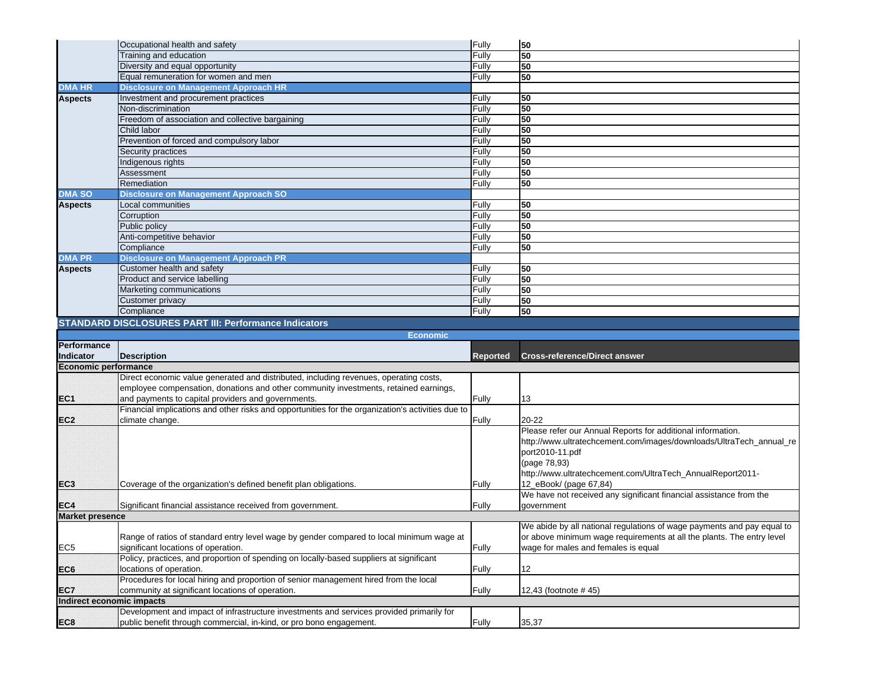|                           | Occupational health and safety                                                                    | Fully           | 50                                                                     |
|---------------------------|---------------------------------------------------------------------------------------------------|-----------------|------------------------------------------------------------------------|
|                           | Training and education                                                                            | Fully           | 50                                                                     |
|                           | Diversity and equal opportunity                                                                   | Fully           | 50                                                                     |
|                           | Equal remuneration for women and men                                                              | Fully           | 50                                                                     |
| <b>DMA HR</b>             | <b>Disclosure on Management Approach HR</b>                                                       |                 |                                                                        |
| <b>Aspects</b>            | Investment and procurement practices                                                              | Fully           | 50                                                                     |
|                           | Non-discrimination                                                                                | Fully           | 50                                                                     |
|                           | Freedom of association and collective bargaining                                                  | Fully           | 50                                                                     |
|                           | Child labor                                                                                       | Fully           | 50                                                                     |
|                           | Prevention of forced and compulsory labor                                                         | Fully           | 50                                                                     |
|                           | Security practices                                                                                | Fully           | 50                                                                     |
|                           | Indigenous rights                                                                                 | Fully           | 50                                                                     |
|                           | Assessment                                                                                        | Fully           | 50                                                                     |
|                           | Remediation                                                                                       | Fully           | 50                                                                     |
| <b>DMA SO</b>             | <b>Disclosure on Management Approach SO</b>                                                       |                 |                                                                        |
| <b>Aspects</b>            | Local communities                                                                                 | Fully           | 50                                                                     |
|                           | Corruption                                                                                        | Fully           | 50                                                                     |
|                           |                                                                                                   |                 | 50                                                                     |
|                           | Public policy                                                                                     | Fully           |                                                                        |
|                           | Anti-competitive behavior                                                                         | Fully           | 50                                                                     |
|                           | Compliance                                                                                        | Fully           | 50                                                                     |
| <b>DMA PR</b>             | <b>Disclosure on Management Approach PR</b>                                                       |                 |                                                                        |
| <b>Aspects</b>            | Customer health and safety                                                                        | Fully           | 50                                                                     |
|                           | Product and service labelling                                                                     | Fully           | 50                                                                     |
|                           | Marketing communications                                                                          | Fully           | 50                                                                     |
|                           | Customer privacy                                                                                  | Fully           | 50                                                                     |
|                           | Compliance                                                                                        | Fully           | 50                                                                     |
|                           | <b>STANDARD DISCLOSURES PART III: Performance Indicators</b>                                      |                 |                                                                        |
|                           |                                                                                                   |                 |                                                                        |
|                           | <b>Economic</b>                                                                                   |                 |                                                                        |
| Performance               |                                                                                                   |                 |                                                                        |
| <b>Indicator</b>          | <b>Description</b>                                                                                | <b>Reported</b> | <b>Cross-reference/Direct answer</b>                                   |
|                           |                                                                                                   |                 |                                                                        |
| Economic performance      | Direct economic value generated and distributed, including revenues, operating costs,             |                 |                                                                        |
|                           |                                                                                                   |                 |                                                                        |
|                           | employee compensation, donations and other community investments, retained earnings,              |                 | 13                                                                     |
| EC <sub>1</sub>           | and payments to capital providers and governments.                                                | Fully           |                                                                        |
|                           | Financial implications and other risks and opportunities for the organization's activities due to |                 | $20 - 22$                                                              |
| EC <sub>2</sub>           | climate change.                                                                                   | Fully           |                                                                        |
|                           |                                                                                                   |                 | Please refer our Annual Reports for additional information.            |
|                           |                                                                                                   |                 | http://www.ultratechcement.com/images/downloads/UltraTech_annual_re    |
|                           |                                                                                                   |                 | port2010-11.pdf                                                        |
|                           |                                                                                                   |                 | (page 78,93)                                                           |
|                           |                                                                                                   |                 | http://www.ultratechcement.com/UltraTech_AnnualReport2011-             |
| EC <sub>3</sub>           | Coverage of the organization's defined benefit plan obligations.                                  | Fully           | 12_eBook/ (page 67,84)                                                 |
|                           |                                                                                                   |                 | We have not received any significant financial assistance from the     |
| EC <sub>4</sub>           | Significant financial assistance received from government.                                        | Fully           | government                                                             |
| <b>Market presence</b>    |                                                                                                   |                 |                                                                        |
|                           |                                                                                                   |                 | We abide by all national regulations of wage payments and pay equal to |
|                           | Range of ratios of standard entry level wage by gender compared to local minimum wage at          |                 | or above minimum wage requirements at all the plants. The entry level  |
| EC <sub>5</sub>           | significant locations of operation.                                                               | Fully           | wage for males and females is equal                                    |
|                           | Policy, practices, and proportion of spending on locally-based suppliers at significant           |                 |                                                                        |
| EC <sub>6</sub>           | locations of operation.                                                                           | Fully           | 12                                                                     |
|                           |                                                                                                   |                 |                                                                        |
| EC7                       | Procedures for local hiring and proportion of senior management hired from the local              | Fully           |                                                                        |
| Indirect economic impacts | community at significant locations of operation.                                                  |                 | 12,43 (footnote #45)                                                   |
|                           | Development and impact of infrastructure investments and services provided primarily for          |                 |                                                                        |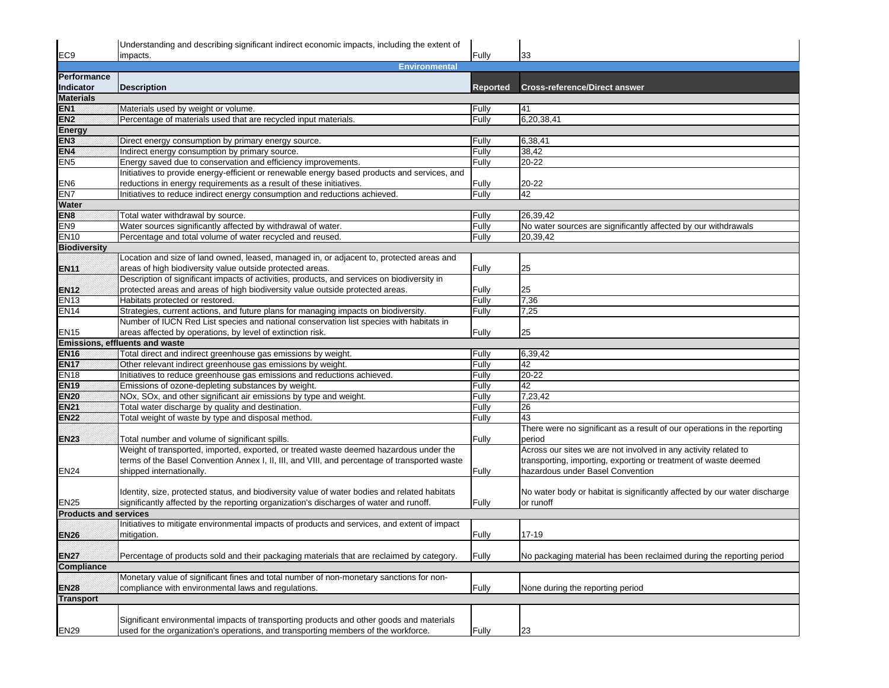|                                                                                         | Understanding and describing significant indirect economic impacts, including the extent of                                              |                 |                                                                           |  |  |
|-----------------------------------------------------------------------------------------|------------------------------------------------------------------------------------------------------------------------------------------|-----------------|---------------------------------------------------------------------------|--|--|
| EC <sub>9</sub>                                                                         | impacts.                                                                                                                                 | Fully           | 33                                                                        |  |  |
| <b>Environmental</b>                                                                    |                                                                                                                                          |                 |                                                                           |  |  |
| Performance                                                                             |                                                                                                                                          |                 |                                                                           |  |  |
| Indicator                                                                               | Description                                                                                                                              | <b>Reported</b> | <b>Cross-reference/Direct answer</b>                                      |  |  |
| <b>Materials</b>                                                                        |                                                                                                                                          |                 |                                                                           |  |  |
| EN1                                                                                     | Materials used by weight or volume.                                                                                                      | Fully           | 41                                                                        |  |  |
| EN <sub>2</sub>                                                                         | Percentage of materials used that are recycled input materials.                                                                          | Fully           | 6,20,38,41                                                                |  |  |
| <b>Energy</b>                                                                           |                                                                                                                                          |                 |                                                                           |  |  |
| EN <sub>3</sub>                                                                         | Direct energy consumption by primary energy source.                                                                                      | Fully           | 6,38,41                                                                   |  |  |
| EN4                                                                                     | Indirect energy consumption by primary source.                                                                                           | Fully           | 38,42                                                                     |  |  |
| EN <sub>5</sub>                                                                         | Energy saved due to conservation and efficiency improvements.                                                                            | Fully           | 20-22                                                                     |  |  |
|                                                                                         | Initiatives to provide energy-efficient or renewable energy based products and services, and                                             |                 |                                                                           |  |  |
| EN <sub>6</sub>                                                                         | reductions in energy requirements as a result of these initiatives.                                                                      | Fully           | 20-22                                                                     |  |  |
| EN <sub>7</sub>                                                                         | Initiatives to reduce indirect energy consumption and reductions achieved.                                                               | Fully           | 42                                                                        |  |  |
| Water                                                                                   |                                                                                                                                          |                 |                                                                           |  |  |
| EN <sub>8</sub>                                                                         | Total water withdrawal by source.                                                                                                        | Fully           | 26,39,42                                                                  |  |  |
| EN9                                                                                     | Water sources significantly affected by withdrawal of water.                                                                             | Fully           | No water sources are significantly affected by our withdrawals            |  |  |
| <b>EN10</b>                                                                             | Percentage and total volume of water recycled and reused.                                                                                | Fully           | 20,39,42                                                                  |  |  |
| <b>Biodiversity</b>                                                                     |                                                                                                                                          |                 |                                                                           |  |  |
|                                                                                         | Location and size of land owned, leased, managed in, or adjacent to, protected areas and                                                 |                 |                                                                           |  |  |
| EN11                                                                                    | areas of high biodiversity value outside protected areas.                                                                                | Fully           | 25                                                                        |  |  |
|                                                                                         | Description of significant impacts of activities, products, and services on biodiversity in                                              |                 |                                                                           |  |  |
| <b>EN12</b>                                                                             | protected areas and areas of high biodiversity value outside protected areas.                                                            | Fully           | 25                                                                        |  |  |
| <b>EN13</b>                                                                             | Habitats protected or restored.                                                                                                          | Fully           | 7,36                                                                      |  |  |
| <b>EN14</b>                                                                             | Strategies, current actions, and future plans for managing impacts on biodiversity.                                                      | Fully           | 7,25                                                                      |  |  |
|                                                                                         | Number of IUCN Red List species and national conservation list species with habitats in                                                  |                 |                                                                           |  |  |
| <b>EN15</b>                                                                             | areas affected by operations, by level of extinction risk.                                                                               | Fully           | 25                                                                        |  |  |
|                                                                                         | Emissions, effluents and waste                                                                                                           |                 |                                                                           |  |  |
| <b>EN16</b>                                                                             | Total direct and indirect greenhouse gas emissions by weight.                                                                            | Fully           | 6,39,42                                                                   |  |  |
| <b>EN17</b>                                                                             | Other relevant indirect greenhouse gas emissions by weight.                                                                              | Fully           | 42                                                                        |  |  |
| <b>EN18</b>                                                                             | Initiatives to reduce greenhouse gas emissions and reductions achieved.                                                                  | Fully           | 20-22                                                                     |  |  |
| <b>EN19</b>                                                                             | Emissions of ozone-depleting substances by weight.                                                                                       | Fully           | 42                                                                        |  |  |
| <b>EN20</b>                                                                             | NOx, SOx, and other significant air emissions by type and weight.                                                                        | Fully           | 7,23,42                                                                   |  |  |
| EN21                                                                                    | Total water discharge by quality and destination.                                                                                        | Fully           | 26                                                                        |  |  |
| <b>EN22</b>                                                                             | Total weight of waste by type and disposal method.                                                                                       | Fully           | 43                                                                        |  |  |
|                                                                                         |                                                                                                                                          |                 | There were no significant as a result of our operations in the reporting  |  |  |
| <b>EN23</b>                                                                             | Total number and volume of significant spills.<br>Weight of transported, imported, exported, or treated waste deemed hazardous under the | Fully           | period<br>Across our sites we are not involved in any activity related to |  |  |
|                                                                                         | terms of the Basel Convention Annex I, II, III, and VIII, and percentage of transported waste                                            |                 | transporting, importing, exporting or treatment of waste deemed           |  |  |
| <b>EN24</b>                                                                             | shipped internationally.                                                                                                                 | Fully           | hazardous under Basel Convention                                          |  |  |
|                                                                                         |                                                                                                                                          |                 |                                                                           |  |  |
|                                                                                         | Identity, size, protected status, and biodiversity value of water bodies and related habitats                                            |                 | No water body or habitat is significantly affected by our water discharge |  |  |
| EN25                                                                                    | significantly affected by the reporting organization's discharges of water and runoff.                                                   | Fully           | or runoff                                                                 |  |  |
| <b>Products and services</b>                                                            |                                                                                                                                          |                 |                                                                           |  |  |
|                                                                                         | Initiatives to mitigate environmental impacts of products and services, and extent of impact                                             |                 |                                                                           |  |  |
| <b>EN26</b>                                                                             | mitigation.                                                                                                                              | Fully           | 17-19                                                                     |  |  |
|                                                                                         |                                                                                                                                          |                 |                                                                           |  |  |
| <b>EN27</b>                                                                             | Percentage of products sold and their packaging materials that are reclaimed by category.                                                | Fully           | No packaging material has been reclaimed during the reporting period      |  |  |
| Compliance                                                                              |                                                                                                                                          |                 |                                                                           |  |  |
| Monetary value of significant fines and total number of non-monetary sanctions for non- |                                                                                                                                          |                 |                                                                           |  |  |
| <b>EN28</b>                                                                             | compliance with environmental laws and regulations.                                                                                      | Fully           | None during the reporting period                                          |  |  |
| <b>Transport</b>                                                                        |                                                                                                                                          |                 |                                                                           |  |  |
|                                                                                         |                                                                                                                                          |                 |                                                                           |  |  |
|                                                                                         | Significant environmental impacts of transporting products and other goods and materials                                                 |                 |                                                                           |  |  |
| <b>EN29</b>                                                                             | used for the organization's operations, and transporting members of the workforce.                                                       | Fully           | 23                                                                        |  |  |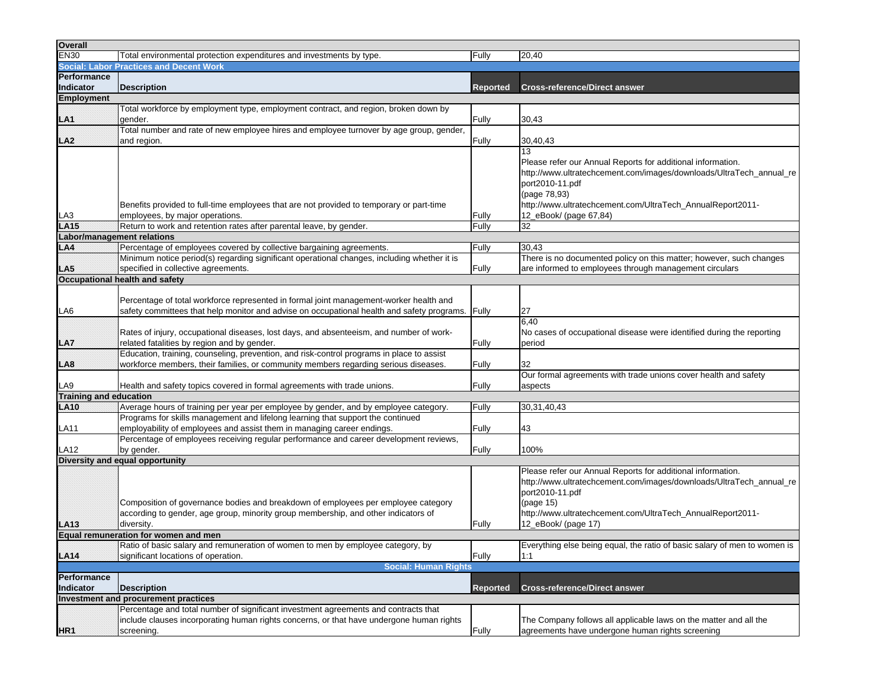| Overall                           |                                                                                                    |          |                                                                           |
|-----------------------------------|----------------------------------------------------------------------------------------------------|----------|---------------------------------------------------------------------------|
| <b>EN30</b>                       | Total environmental protection expenditures and investments by type.                               | Fully    | 20,40                                                                     |
|                                   | <b>Social: Labor Practices and Decent Work</b>                                                     |          |                                                                           |
| Performance                       |                                                                                                    |          |                                                                           |
| Indicator                         | <b>Description</b>                                                                                 | Reported | <b>Cross-reference/Direct answer</b>                                      |
| <b>Employment</b>                 |                                                                                                    |          |                                                                           |
|                                   | Total workforce by employment type, employment contract, and region, broken down by                |          |                                                                           |
| LA1                               | gender.                                                                                            | Fully    | 30,43                                                                     |
|                                   | Total number and rate of new employee hires and employee turnover by age group, gender,            |          |                                                                           |
| LA <sub>2</sub>                   | and region.                                                                                        | Fully    | 30,40,43                                                                  |
|                                   |                                                                                                    |          | 13                                                                        |
|                                   |                                                                                                    |          | Please refer our Annual Reports for additional information.               |
|                                   |                                                                                                    |          | http://www.ultratechcement.com/images/downloads/UltraTech_annual_re       |
|                                   |                                                                                                    |          | port2010-11.pdf                                                           |
|                                   |                                                                                                    |          | (page 78,93)                                                              |
|                                   | Benefits provided to full-time employees that are not provided to temporary or part-time           |          | http://www.ultratechcement.com/UltraTech_AnnualReport2011-                |
| LA3                               | employees, by major operations.                                                                    | Fully    | 12_eBook/ (page 67,84)                                                    |
| LA15                              | Return to work and retention rates after parental leave, by gender.                                | Fully    | 32                                                                        |
| <b>Labor/management relations</b> |                                                                                                    |          |                                                                           |
| LA4                               | Percentage of employees covered by collective bargaining agreements.                               | Fully    | 30,43                                                                     |
|                                   | Minimum notice period(s) regarding significant operational changes, including whether it is        |          | There is no documented policy on this matter; however, such changes       |
|                                   | LA5 specified in collection and safety<br>specified in collective agreements.                      | Fully    | are informed to employees through management circulars                    |
|                                   |                                                                                                    |          |                                                                           |
|                                   |                                                                                                    |          |                                                                           |
|                                   | Percentage of total workforce represented in formal joint management-worker health and             |          |                                                                           |
| LA6                               | safety committees that help monitor and advise on occupational health and safety programs.   Fully |          | 27                                                                        |
|                                   |                                                                                                    |          | 6,40                                                                      |
|                                   | Rates of injury, occupational diseases, lost days, and absenteeism, and number of work-            |          | No cases of occupational disease were identified during the reporting     |
| LA7                               | related fatalities by region and by gender.                                                        | Fully    | period                                                                    |
|                                   | Education, training, counseling, prevention, and risk-control programs in place to assist          |          |                                                                           |
| LA8                               | workforce members, their families, or community members regarding serious diseases.                | Fully    | 32                                                                        |
|                                   |                                                                                                    |          | Our formal agreements with trade unions cover health and safety           |
| LA9                               | Health and safety topics covered in formal agreements with trade unions.                           | Fully    | aspects                                                                   |
| <b>Training and education</b>     |                                                                                                    |          |                                                                           |
| <b>LA10</b>                       | Average hours of training per year per employee by gender, and by employee category.               | Fully    | 30,31,40,43                                                               |
|                                   | Programs for skills management and lifelong learning that support the continued                    |          |                                                                           |
| <b>LA11</b>                       | employability of employees and assist them in managing career endings.                             | Fully    | 43                                                                        |
|                                   | Percentage of employees receiving regular performance and career development reviews,              |          |                                                                           |
| LA12                              | by gender.                                                                                         | Fully    | 100%                                                                      |
|                                   | Diversity and equal opportunity                                                                    |          |                                                                           |
|                                   |                                                                                                    |          | Please refer our Annual Reports for additional information.               |
|                                   |                                                                                                    |          | http://www.ultratechcement.com/images/downloads/UltraTech_annual_re       |
|                                   |                                                                                                    |          | port2010-11.pdf                                                           |
|                                   | Composition of governance bodies and breakdown of employees per employee category                  |          | (page 15)                                                                 |
|                                   | according to gender, age group, minority group membership, and other indicators of                 |          | http://www.ultratechcement.com/UltraTech_AnnualReport2011-                |
| LA13                              | diversity.                                                                                         | Fully    | 12_eBook/ (page 17)                                                       |
|                                   | Equal remuneration for women and men                                                               |          |                                                                           |
|                                   | [Ratio of basic salary and remuneration of women to men by employee category, by                   |          | Everything else being equal, the ratio of basic salary of men to women is |
| LA14                              | significant locations of operation.                                                                | Fully    | 1:1                                                                       |
|                                   | <b>Social: Human Rights</b>                                                                        |          |                                                                           |
| Performance                       |                                                                                                    |          |                                                                           |
| <b>Indicator</b>                  | <b>Description</b>                                                                                 | Reported | <b>Cross-reference/Direct answer</b>                                      |
|                                   | Investment and procurement practices                                                               |          |                                                                           |
|                                   | Percentage and total number of significant investment agreements and contracts that                |          |                                                                           |
|                                   | include clauses incorporating human rights concerns, or that have undergone human rights           |          | The Company follows all applicable laws on the matter and all the         |
| HR <sub>1</sub>                   | screening.                                                                                         | Fully    | agreements have undergone human rights screening                          |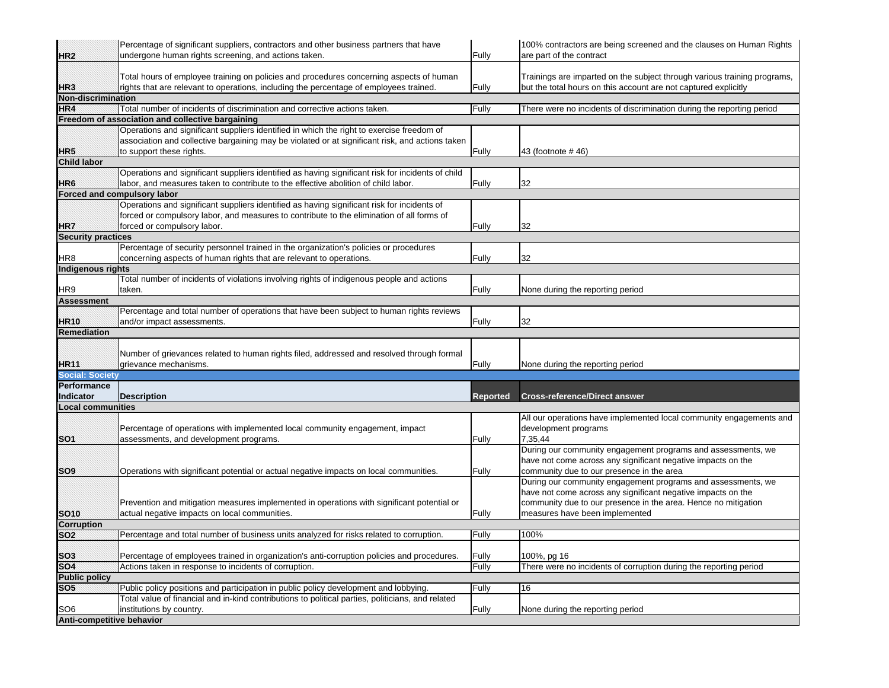|                                              | Percentage of significant suppliers, contractors and other business partners that have                                                                                            |                 | 100% contractors are being screened and the clauses on Human Rights                                                                         |
|----------------------------------------------|-----------------------------------------------------------------------------------------------------------------------------------------------------------------------------------|-----------------|---------------------------------------------------------------------------------------------------------------------------------------------|
| HR2                                          | undergone human rights screening, and actions taken.                                                                                                                              | Fully           | are part of the contract                                                                                                                    |
| HR <sub>3</sub>                              | Total hours of employee training on policies and procedures concerning aspects of human<br>rights that are relevant to operations, including the percentage of employees trained. | Fully           | Trainings are imparted on the subject through various training programs,<br>but the total hours on this account are not captured explicitly |
| Non-discrimination                           |                                                                                                                                                                                   |                 |                                                                                                                                             |
| HR4                                          | Total number of incidents of discrimination and corrective actions taken.                                                                                                         | Fully           | There were no incidents of discrimination during the reporting period                                                                       |
|                                              | Freedom of association and collective bargaining<br>Operations and significant suppliers identified in which the right to exercise freedom of                                     |                 |                                                                                                                                             |
|                                              | association and collective bargaining may be violated or at significant risk, and actions taken                                                                                   |                 |                                                                                                                                             |
| HR <sub>5</sub>                              | to support these rights.                                                                                                                                                          | Fully           | 43 (footnote # 46)                                                                                                                          |
| <b>Child labor</b>                           |                                                                                                                                                                                   |                 |                                                                                                                                             |
|                                              | Operations and significant suppliers identified as having significant risk for incidents of child                                                                                 |                 |                                                                                                                                             |
| HR <sub>6</sub>                              | labor, and measures taken to contribute to the effective abolition of child labor.                                                                                                | Fully           | 32                                                                                                                                          |
|                                              | Forced and compulsory labor                                                                                                                                                       |                 |                                                                                                                                             |
|                                              | Operations and significant suppliers identified as having significant risk for incidents of                                                                                       |                 |                                                                                                                                             |
|                                              | forced or compulsory labor, and measures to contribute to the elimination of all forms of                                                                                         |                 |                                                                                                                                             |
| HR7                                          | forced or compulsory labor.                                                                                                                                                       | Fully           | 32                                                                                                                                          |
| <b>Security practices</b>                    |                                                                                                                                                                                   |                 |                                                                                                                                             |
|                                              | Percentage of security personnel trained in the organization's policies or procedures                                                                                             |                 |                                                                                                                                             |
| HR <sub>8</sub>                              | concerning aspects of human rights that are relevant to operations.                                                                                                               | Fully           | 32                                                                                                                                          |
| <b>Indigenous rights</b>                     |                                                                                                                                                                                   |                 |                                                                                                                                             |
|                                              | Total number of incidents of violations involving rights of indigenous people and actions                                                                                         |                 |                                                                                                                                             |
| HR9                                          | taken.                                                                                                                                                                            | Fully           | None during the reporting period                                                                                                            |
| <b>Assessment</b>                            |                                                                                                                                                                                   |                 |                                                                                                                                             |
|                                              | Percentage and total number of operations that have been subject to human rights reviews                                                                                          |                 |                                                                                                                                             |
| <b>HR10</b>                                  | and/or impact assessments.                                                                                                                                                        | Fully           | 32                                                                                                                                          |
| Remediation                                  |                                                                                                                                                                                   |                 |                                                                                                                                             |
|                                              |                                                                                                                                                                                   |                 |                                                                                                                                             |
|                                              | Number of grievances related to human rights filed, addressed and resolved through formal                                                                                         |                 |                                                                                                                                             |
| HR11                                         | grievance mechanisms.                                                                                                                                                             | Fully           | None during the reporting period                                                                                                            |
| <b>Social: Society</b>                       |                                                                                                                                                                                   |                 |                                                                                                                                             |
| Performance                                  |                                                                                                                                                                                   |                 |                                                                                                                                             |
| Indicator                                    | <b>Description</b>                                                                                                                                                                | <b>Reported</b> | <b>Cross-reference/Direct answer</b>                                                                                                        |
| <b>Local communities</b>                     |                                                                                                                                                                                   |                 |                                                                                                                                             |
|                                              |                                                                                                                                                                                   |                 | All our operations have implemented local community engagements and                                                                         |
|                                              | Percentage of operations with implemented local community engagement, impact                                                                                                      |                 | development programs                                                                                                                        |
| SO <sub>1</sub>                              | assessments, and development programs.                                                                                                                                            | Fully           | 7,35,44                                                                                                                                     |
|                                              |                                                                                                                                                                                   |                 | During our community engagement programs and assessments, we                                                                                |
|                                              |                                                                                                                                                                                   |                 | have not come across any significant negative impacts on the                                                                                |
| SO <sub>9</sub>                              | Operations with significant potential or actual negative impacts on local communities.                                                                                            | Fully           | community due to our presence in the area                                                                                                   |
|                                              |                                                                                                                                                                                   |                 | During our community engagement programs and assessments, we                                                                                |
|                                              |                                                                                                                                                                                   |                 | have not come across any significant negative impacts on the                                                                                |
|                                              | Prevention and mitigation measures implemented in operations with significant potential or                                                                                        |                 | community due to our presence in the area. Hence no mitigation                                                                              |
| <b>SO10</b>                                  | actual negative impacts on local communities.                                                                                                                                     | Fully           | measures have been implemented                                                                                                              |
| <b>Corruption</b>                            |                                                                                                                                                                                   |                 |                                                                                                                                             |
| SO <sub>2</sub>                              | Percentage and total number of business units analyzed for risks related to corruption.                                                                                           | Fully           | 100%                                                                                                                                        |
|                                              |                                                                                                                                                                                   |                 |                                                                                                                                             |
| <b>SO3</b>                                   | Percentage of employees trained in organization's anti-corruption policies and procedures.                                                                                        | Fully           | 100%, pg 16                                                                                                                                 |
| <b>SO4</b>                                   | Actions taken in response to incidents of corruption.                                                                                                                             | Fully           | There were no incidents of corruption during the reporting period                                                                           |
| <b>Public policy</b>                         |                                                                                                                                                                                   |                 |                                                                                                                                             |
| SO <sub>5</sub>                              | Public policy positions and participation in public policy development and lobbying.                                                                                              | Fully           | 16                                                                                                                                          |
|                                              |                                                                                                                                                                                   |                 |                                                                                                                                             |
|                                              | Total value of financial and in-kind contributions to political parties, politicians, and related                                                                                 |                 |                                                                                                                                             |
| SO <sub>6</sub><br>Anti-competitive behavior | institutions by country.                                                                                                                                                          | Fully           | None during the reporting period                                                                                                            |